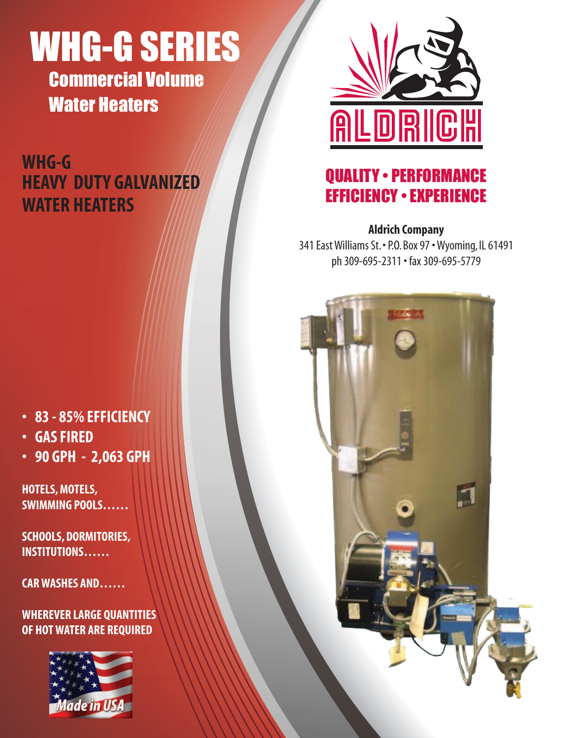# WHG-G SERIES

Commercial Volume Water Heaters

# **WHG-G HEAVY DUTY GALVANIZED WATER HEATERS**



## QUALITY • PERFORMANCE EFFICIENCY • EXPERIENCE

## **Aldrich Company**

341 East Williams St. • P.O. Box 97 • Wyoming, IL 61491 ph 309-695-2311 • fax 309-695-5779

E

- **• 83 - 85%EFFICIENCY**
- **• GASFIRED**
- **• 90 GPH 2,063 GPH**

**HOTELS, MOTELS, SWIMMING POOLS……**

**SCHOOLS, DORMITORIES, INSTITUTIONS……**

**CARWASHES AND……**

**WHEREVER LARGE QUANTITIES OF HOTWATER ARE REQUIRED**